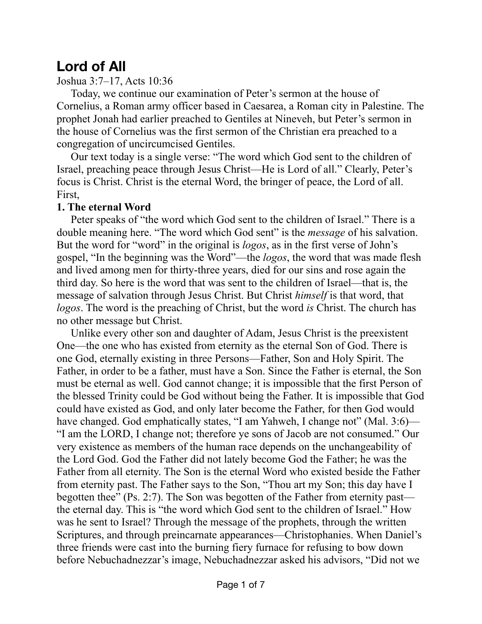## **Lord of All**

Joshua 3:7–17, Acts 10:36

Today, we continue our examination of Peter's sermon at the house of Cornelius, a Roman army officer based in Caesarea, a Roman city in Palestine. The prophet Jonah had earlier preached to Gentiles at Nineveh, but Peter's sermon in the house of Cornelius was the first sermon of the Christian era preached to a congregation of uncircumcised Gentiles.

Our text today is a single verse: "The word which God sent to the children of Israel, preaching peace through Jesus Christ—He is Lord of all." Clearly, Peter's focus is Christ. Christ is the eternal Word, the bringer of peace, the Lord of all. First,

## **1. The eternal Word**

Peter speaks of "the word which God sent to the children of Israel." There is a double meaning here. "The word which God sent" is the *message* of his salvation. But the word for "word" in the original is *logos*, as in the first verse of John's gospel, "In the beginning was the Word"—the *logos*, the word that was made flesh and lived among men for thirty-three years, died for our sins and rose again the third day. So here is the word that was sent to the children of Israel—that is, the message of salvation through Jesus Christ. But Christ *himself* is that word, that *logos*. The word is the preaching of Christ, but the word *is* Christ. The church has no other message but Christ.

Unlike every other son and daughter of Adam, Jesus Christ is the preexistent One—the one who has existed from eternity as the eternal Son of God. There is one God, eternally existing in three Persons—Father, Son and Holy Spirit. The Father, in order to be a father, must have a Son. Since the Father is eternal, the Son must be eternal as well. God cannot change; it is impossible that the first Person of the blessed Trinity could be God without being the Father. It is impossible that God could have existed as God, and only later become the Father, for then God would have changed. God emphatically states, "I am Yahweh, I change not" (Mal. 3:6)— "I am the LORD, I change not; therefore ye sons of Jacob are not consumed." Our very existence as members of the human race depends on the unchangeability of the Lord God. God the Father did not lately become God the Father; he was the Father from all eternity. The Son is the eternal Word who existed beside the Father from eternity past. The Father says to the Son, "Thou art my Son; this day have I begotten thee" (Ps. 2:7). The Son was begotten of the Father from eternity past the eternal day. This is "the word which God sent to the children of Israel." How was he sent to Israel? Through the message of the prophets, through the written Scriptures, and through preincarnate appearances—Christophanies. When Daniel's three friends were cast into the burning fiery furnace for refusing to bow down before Nebuchadnezzar's image, Nebuchadnezzar asked his advisors, "Did not we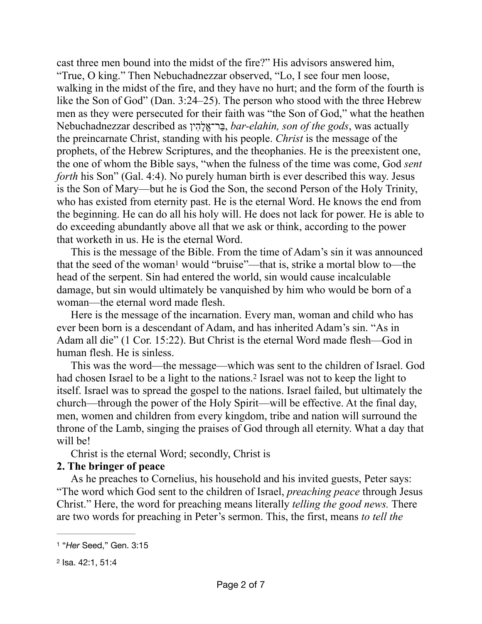cast three men bound into the midst of the fire?" His advisors answered him, "True, O king." Then Nebuchadnezzar observed, "Lo, I see four men loose, walking in the midst of the fire, and they have no hurt; and the form of the fourth is like the Son of God" (Dan. 3:24–25). The person who stood with the three Hebrew men as they were persecuted for their faith was "the Son of God," what the heathen Nebuchadnezzar described as ין ִהָל ֱבּר־אַ , *bar-elahin, son of the gods*, was actually the preincarnate Christ, standing with his people. *Christ* is the message of the prophets, of the Hebrew Scriptures, and the theophanies. He is the preexistent one, the one of whom the Bible says, "when the fulness of the time was come, God *sent forth* his Son" (Gal. 4:4). No purely human birth is ever described this way. Jesus is the Son of Mary—but he is God the Son, the second Person of the Holy Trinity, who has existed from eternity past. He is the eternal Word. He knows the end from the beginning. He can do all his holy will. He does not lack for power. He is able to do exceeding abundantly above all that we ask or think, according to the power that worketh in us. He is the eternal Word.

<span id="page-1-2"></span>This is the message of the Bible. From the time of Adam's sin it was announced that the seed of the woma[n](#page-1-0)<sup>[1](#page-1-0)</sup> would "bruise"—that is, strike a mortal blow to—the head of the serpent. Sin had entered the world, sin would cause incalculable damage, but sin would ultimately be vanquished by him who would be born of a woman—the eternal word made flesh.

Here is the message of the incarnation. Every man, woman and child who has ever been born is a descendant of Adam, and has inherited Adam's sin. "As in Adam all die" (1 Cor. 15:22). But Christ is the eternal Word made flesh—God in human flesh. He is sinless.

<span id="page-1-3"></span>This was the word—the message—which was sent to the children of Israel. God had chosen Israel to be a light to the nations.<sup>[2](#page-1-1)</sup> Israel was not to keep the light to itself. Israel was to spread the gospel to the nations. Israel failed, but ultimately the church—through the power of the Holy Spirit—will be effective. At the final day, men, women and children from every kingdom, tribe and nation will surround the throne of the Lamb, singing the praises of God through all eternity. What a day that will be!

Christ is the eternal Word; secondly, Christ is

## **2. The bringer of peace**

As he preaches to Cornelius, his household and his invited guests, Peter says: "The word which God sent to the children of Israel, *preaching peace* through Jesus Christ." Here, the word for preaching means literally *telling the good news.* There are two words for preaching in Peter's sermon. This, the first, means *to tell the* 

<span id="page-1-0"></span>[<sup>1</sup>](#page-1-2) "*Her* Seed," Gen. 3:15

<span id="page-1-1"></span>[<sup>2</sup>](#page-1-3) Isa. 42:1, 51:4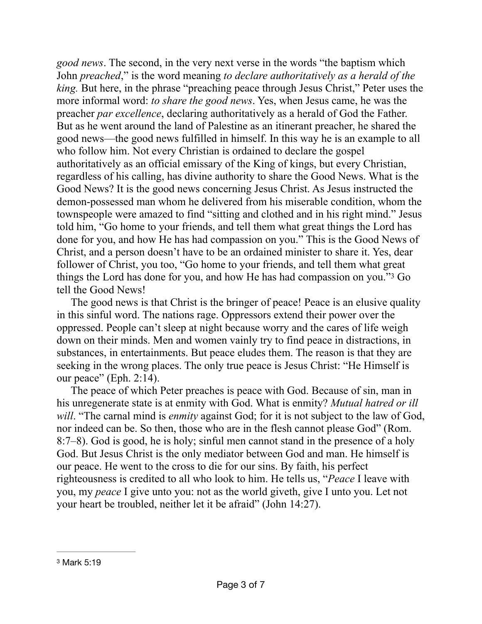*good news*. The second, in the very next verse in the words "the baptism which John *preached*," is the word meaning *to declare authoritatively as a herald of the king.* But here, in the phrase "preaching peace through Jesus Christ," Peter uses the more informal word: *to share the good news*. Yes, when Jesus came, he was the preacher *par excellence*, declaring authoritatively as a herald of God the Father. But as he went around the land of Palestine as an itinerant preacher, he shared the good news—the good news fulfilled in himself. In this way he is an example to all who follow him. Not every Christian is ordained to declare the gospel authoritatively as an official emissary of the King of kings, but every Christian, regardless of his calling, has divine authority to share the Good News. What is the Good News? It is the good news concerning Jesus Christ. As Jesus instructed the demon-possessed man whom he delivered from his miserable condition, whom the townspeople were amazed to find "sitting and clothed and in his right mind." Jesus told him, "Go home to your friends, and tell them what great things the Lord has done for you, and how He has had compassion on you." This is the Good News of Christ, and a person doesn't have to be an ordained minister to share it. Yes, dear follower of Christ, you too, "Go home to your friends, and tell them what great things the Lord has done for you, and how He has had compassion on you." $3\text{ Go}$  $3\text{ Go}$ tell the Good News!

<span id="page-2-1"></span>The good news is that Christ is the bringer of peace! Peace is an elusive quality in this sinful word. The nations rage. Oppressors extend their power over the oppressed. People can't sleep at night because worry and the cares of life weigh down on their minds. Men and women vainly try to find peace in distractions, in substances, in entertainments. But peace eludes them. The reason is that they are seeking in the wrong places. The only true peace is Jesus Christ: "He Himself is our peace" (Eph. 2:14).

The peace of which Peter preaches is peace with God. Because of sin, man in his unregenerate state is at enmity with God. What is enmity? *Mutual hatred or ill will*. "The carnal mind is *enmity* against God; for it is not subject to the law of God, nor indeed can be. So then, those who are in the flesh cannot please God" (Rom. 8:7–8). God is good, he is holy; sinful men cannot stand in the presence of a holy God. But Jesus Christ is the only mediator between God and man. He himself is our peace. He went to the cross to die for our sins. By faith, his perfect righteousness is credited to all who look to him. He tells us, "*Peace* I leave with you, my *peace* I give unto you: not as the world giveth, give I unto you. Let not your heart be troubled, neither let it be afraid" (John 14:27).

<span id="page-2-0"></span>[<sup>3</sup>](#page-2-1) Mark 5:19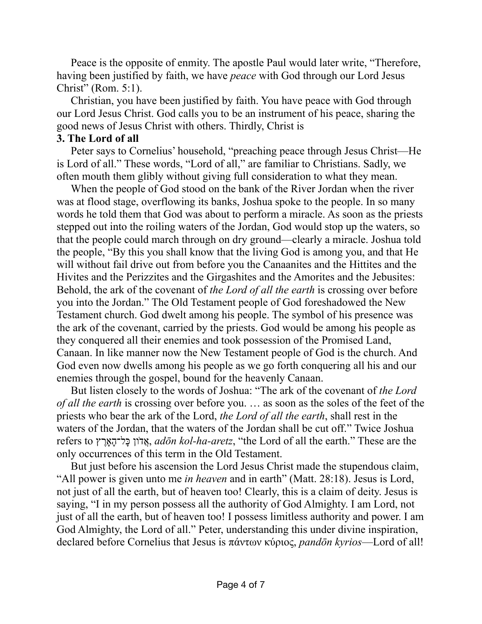Peace is the opposite of enmity. The apostle Paul would later write, "Therefore, having been justified by faith, we have *peace* with God through our Lord Jesus Christ" (Rom. 5:1).

Christian, you have been justified by faith. You have peace with God through our Lord Jesus Christ. God calls you to be an instrument of his peace, sharing the good news of Jesus Christ with others. Thirdly, Christ is

## **3. The Lord of all**

Peter says to Cornelius' household, "preaching peace through Jesus Christ—He is Lord of all." These words, "Lord of all," are familiar to Christians. Sadly, we often mouth them glibly without giving full consideration to what they mean.

When the people of God stood on the bank of the River Jordan when the river was at flood stage, overflowing its banks, Joshua spoke to the people. In so many words he told them that God was about to perform a miracle. As soon as the priests stepped out into the roiling waters of the Jordan, God would stop up the waters, so that the people could march through on dry ground—clearly a miracle. Joshua told the people, "By this you shall know that the living God is among you, and that He will without fail drive out from before you the Canaanites and the Hittites and the Hivites and the Perizzites and the Girgashites and the Amorites and the Jebusites: Behold, the ark of the covenant of *the Lord of all the earth* is crossing over before you into the Jordan." The Old Testament people of God foreshadowed the New Testament church. God dwelt among his people. The symbol of his presence was the ark of the covenant, carried by the priests. God would be among his people as they conquered all their enemies and took possession of the Promised Land, Canaan. In like manner now the New Testament people of God is the church. And God even now dwells among his people as we go forth conquering all his and our enemies through the gospel, bound for the heavenly Canaan.

But listen closely to the words of Joshua: "The ark of the covenant of *the Lord of all the earth* is crossing over before you. … as soon as the soles of the feet of the priests who bear the ark of the Lord, *the Lord of all the earth*, shall rest in the waters of the Jordan, that the waters of the Jordan shall be cut off." Twice Joshua refers to ץ ֶאָרָל־הָכּ וןֹ דֲא, *adōn kol-ha-aretz*, "the Lord of all the earth." These are the only occurrences of this term in the Old Testament.

But just before his ascension the Lord Jesus Christ made the stupendous claim, "All power is given unto me *in heaven* and in earth" (Matt. 28:18). Jesus is Lord, not just of all the earth, but of heaven too! Clearly, this is a claim of deity. Jesus is saying, "I in my person possess all the authority of God Almighty. I am Lord, not just of all the earth, but of heaven too! I possess limitless authority and power. I am God Almighty, the Lord of all." Peter, understanding this under divine inspiration, declared before Cornelius that Jesus is πάντων κύριος, *pandōn kyrios*—Lord of all!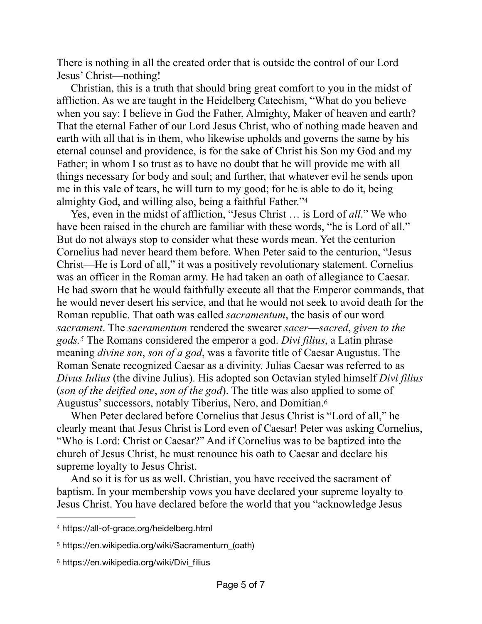There is nothing in all the created order that is outside the control of our Lord Jesus' Christ—nothing!

Christian, this is a truth that should bring great comfort to you in the midst of affliction. As we are taught in the Heidelberg Catechism, "What do you believe when you say: I believe in God the Father, Almighty, Maker of heaven and earth? That the eternal Father of our Lord Jesus Christ, who of nothing made heaven and earth with all that is in them, who likewise upholds and governs the same by his eternal counsel and providence, is for the sake of Christ his Son my God and my Father; in whom I so trust as to have no doubt that he will provide me with all things necessary for body and soul; and further, that whatever evil he sends upon me in this vale of tears, he will turn to my good; for he is able to do it, being almighty God, and willing also, being a faithful Father."[4](#page-4-0)

<span id="page-4-3"></span>Yes, even in the midst of affliction, "Jesus Christ … is Lord of *all*." We who have been raised in the church are familiar with these words, "he is Lord of all." But do not always stop to consider what these words mean. Yet the centurion Cornelius had never heard them before. When Peter said to the centurion, "Jesus Christ—He is Lord of all," it was a positively revolutionary statement. Cornelius was an officer in the Roman army. He had taken an oath of allegiance to Caesar. He had sworn that he would faithfully execute all that the Emperor commands, that he would never desert his service, and that he would not seek to avoid death for the Roman republic. That oath was called *sacramentum*, the basis of our word *sacrament*. The *sacramentum* rendered the swearer *sacer*—*sacred*, *given to the gods.* The Romans considered the emperor a god. *Divi filius*, a Latin phrase *[5](#page-4-1)* meaning *divine son*, *son of a god*, was a favorite title of Caesar Augustus. The Roman Senate recognized Caesar as a divinity. Julias Caesar was referred to as *Divus Iulius* (the divine Julius). His adopted son Octavian styled himself *Divi filius* (*son of the deified one*, *son of the god*). The title was also applied to some of Augustus' successors, notably Tiberius, Nero, and Domitian.[6](#page-4-2)

<span id="page-4-5"></span><span id="page-4-4"></span>When Peter declared before Cornelius that Jesus Christ is "Lord of all," he clearly meant that Jesus Christ is Lord even of Caesar! Peter was asking Cornelius, "Who is Lord: Christ or Caesar?" And if Cornelius was to be baptized into the church of Jesus Christ, he must renounce his oath to Caesar and declare his supreme loyalty to Jesus Christ.

And so it is for us as well. Christian, you have received the sacrament of baptism. In your membership vows you have declared your supreme loyalty to Jesus Christ. You have declared before the world that you "acknowledge Jesus

<span id="page-4-0"></span>https://all-of-grace.org/heidelberg.html [4](#page-4-3)

<span id="page-4-1"></span><sup>&</sup>lt;sup>[5](#page-4-4)</sup> https://en.wikipedia.org/wiki/Sacramentum\_(oath)

<span id="page-4-2"></span>[<sup>6</sup>](#page-4-5) https://en.wikipedia.org/wiki/Divi\_filius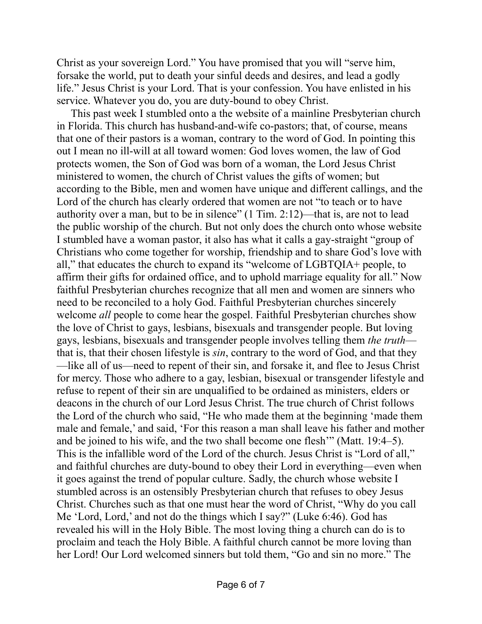Christ as your sovereign Lord." You have promised that you will "serve him, forsake the world, put to death your sinful deeds and desires, and lead a godly life." Jesus Christ is your Lord. That is your confession. You have enlisted in his service. Whatever you do, you are duty-bound to obey Christ.

This past week I stumbled onto a the website of a mainline Presbyterian church in Florida. This church has husband-and-wife co-pastors; that, of course, means that one of their pastors is a woman, contrary to the word of God. In pointing this out I mean no ill-will at all toward women: God loves women, the law of God protects women, the Son of God was born of a woman, the Lord Jesus Christ ministered to women, the church of Christ values the gifts of women; but according to the Bible, men and women have unique and different callings, and the Lord of the church has clearly ordered that women are not "to teach or to have authority over a man, but to be in silence" (1 Tim. 2:12)—that is, are not to lead the public worship of the church. But not only does the church onto whose website I stumbled have a woman pastor, it also has what it calls a gay-straight "group of Christians who come together for worship, friendship and to share God's love with all," that educates the church to expand its "welcome of LGBTQIA+ people, to affirm their gifts for ordained office, and to uphold marriage equality for all." Now faithful Presbyterian churches recognize that all men and women are sinners who need to be reconciled to a holy God. Faithful Presbyterian churches sincerely welcome *all* people to come hear the gospel. Faithful Presbyterian churches show the love of Christ to gays, lesbians, bisexuals and transgender people. But loving gays, lesbians, bisexuals and transgender people involves telling them *the truth* that is, that their chosen lifestyle is *sin*, contrary to the word of God, and that they —like all of us—need to repent of their sin, and forsake it, and flee to Jesus Christ for mercy. Those who adhere to a gay, lesbian, bisexual or transgender lifestyle and refuse to repent of their sin are unqualified to be ordained as ministers, elders or deacons in the church of our Lord Jesus Christ. The true church of Christ follows the Lord of the church who said, "He who made them at the beginning 'made them male and female,' and said, 'For this reason a man shall leave his father and mother and be joined to his wife, and the two shall become one flesh'" (Matt. 19:4–5). This is the infallible word of the Lord of the church. Jesus Christ is "Lord of all," and faithful churches are duty-bound to obey their Lord in everything—even when it goes against the trend of popular culture. Sadly, the church whose website I stumbled across is an ostensibly Presbyterian church that refuses to obey Jesus Christ. Churches such as that one must hear the word of Christ, "Why do you call Me 'Lord, Lord,' and not do the things which I say?" (Luke 6:46). God has revealed his will in the Holy Bible. The most loving thing a church can do is to proclaim and teach the Holy Bible. A faithful church cannot be more loving than her Lord! Our Lord welcomed sinners but told them, "Go and sin no more." The